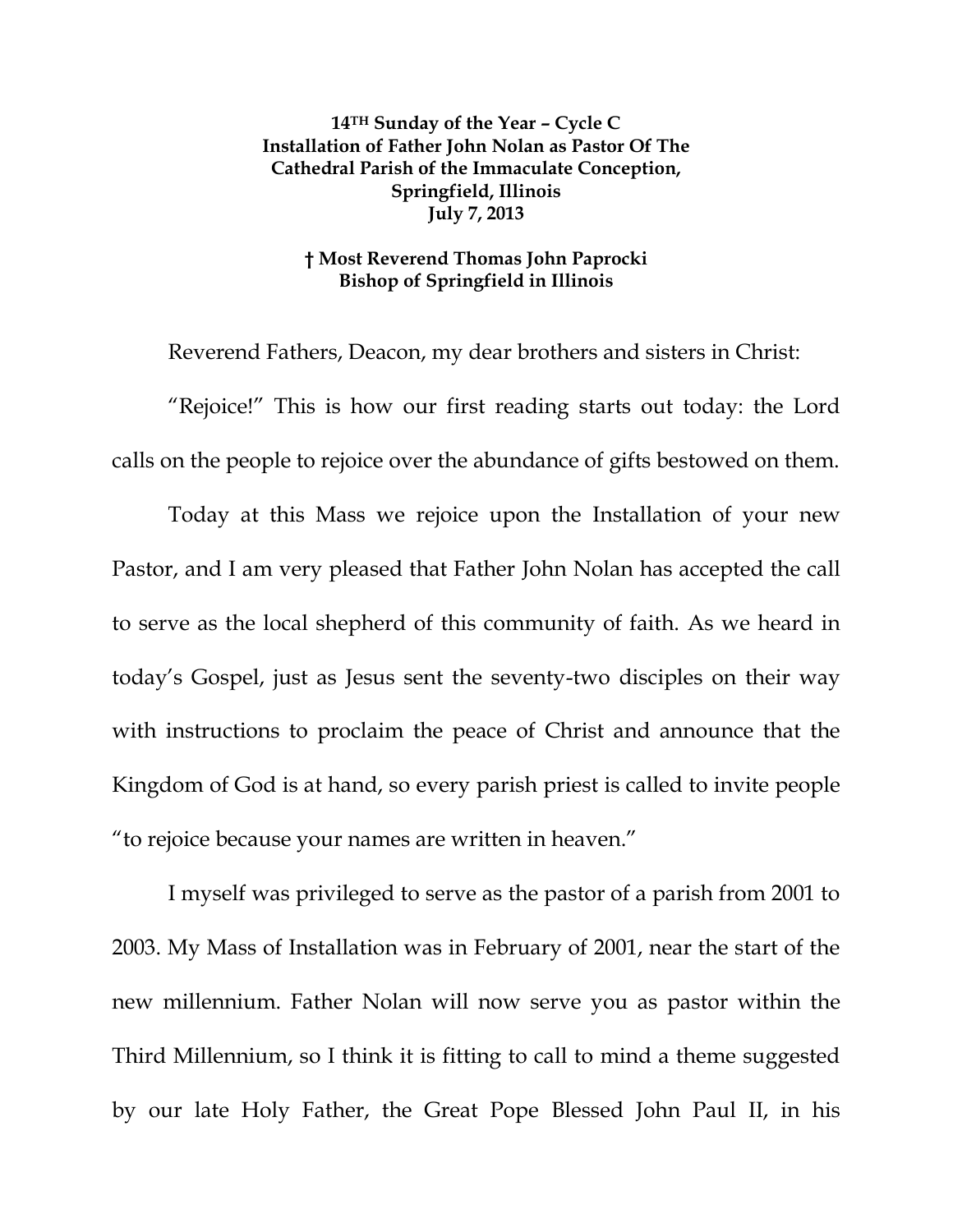**14TH Sunday of the Year – Cycle C Installation of Father John Nolan as Pastor Of The Cathedral Parish of the Immaculate Conception, Springfield, Illinois July 7, 2013**

## **† Most Reverend Thomas John Paprocki Bishop of Springfield in Illinois**

Reverend Fathers, Deacon, my dear brothers and sisters in Christ: "Rejoice!" This is how our first reading starts out today: the Lord calls on the people to rejoice over the abundance of gifts bestowed on them.

Today at this Mass we rejoice upon the Installation of your new Pastor, and I am very pleased that Father John Nolan has accepted the call to serve as the local shepherd of this community of faith. As we heard in today's Gospel, just as Jesus sent the seventy-two disciples on their way with instructions to proclaim the peace of Christ and announce that the Kingdom of God is at hand, so every parish priest is called to invite people "to rejoice because your names are written in heaven."

I myself was privileged to serve as the pastor of a parish from 2001 to 2003. My Mass of Installation was in February of 2001, near the start of the new millennium. Father Nolan will now serve you as pastor within the Third Millennium, so I think it is fitting to call to mind a theme suggested by our late Holy Father, the Great Pope Blessed John Paul II, in his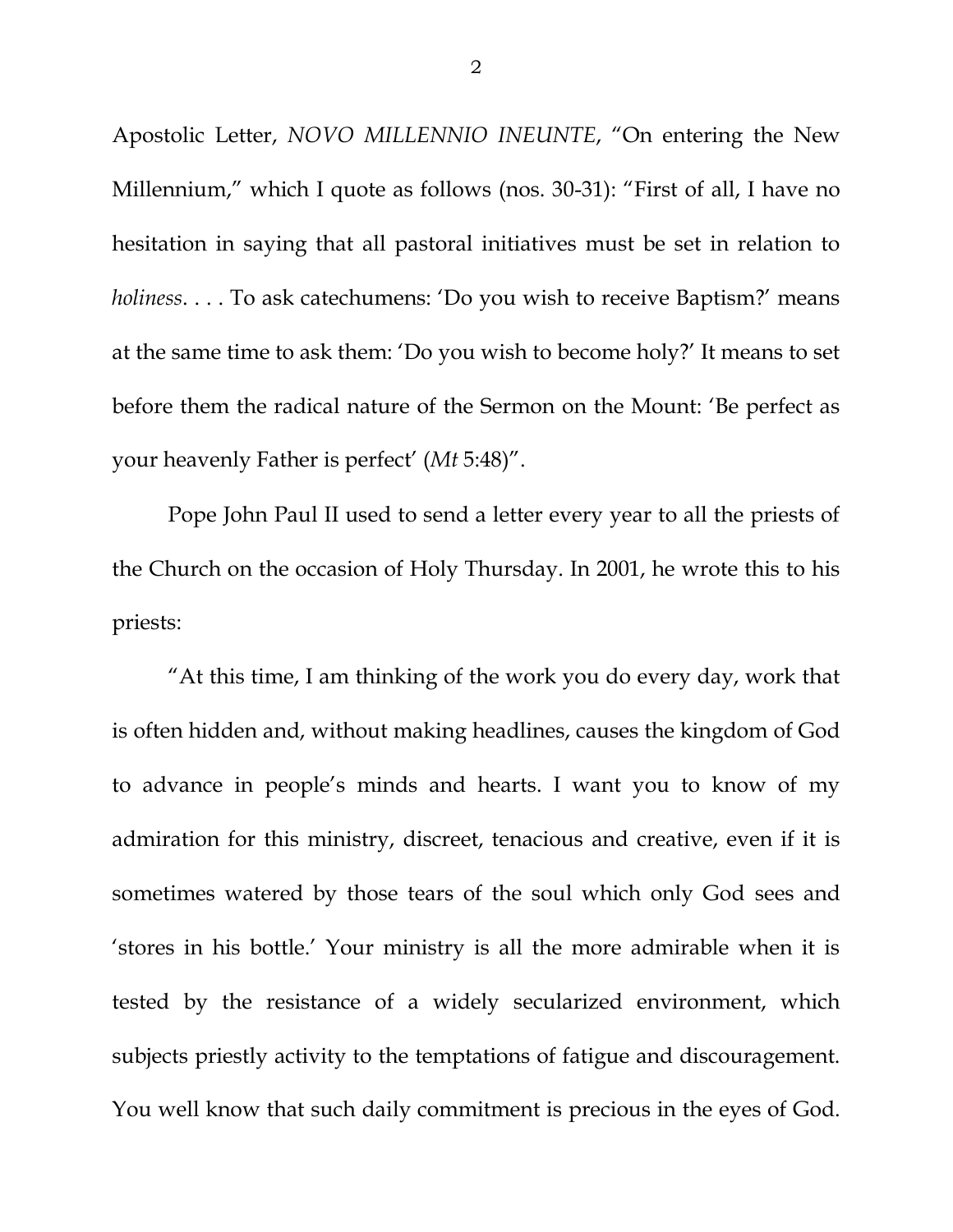Apostolic Letter, *NOVO MILLENNIO INEUNTE*, "On entering the New Millennium," which I quote as follows (nos. 30-31): "First of all, I have no hesitation in saying that all pastoral initiatives must be set in relation to *holiness*. . . . To ask catechumens: 'Do you wish to receive Baptism?' means at the same time to ask them: 'Do you wish to become holy?' It means to set before them the radical nature of the Sermon on the Mount: 'Be perfect as your heavenly Father is perfect' (*Mt* 5:48)".

Pope John Paul II used to send a letter every year to all the priests of the Church on the occasion of Holy Thursday. In 2001, he wrote this to his priests:

"At this time, I am thinking of the work you do every day, work that is often hidden and, without making headlines, causes the kingdom of God to advance in people's minds and hearts. I want you to know of my admiration for this ministry, discreet, tenacious and creative, even if it is sometimes watered by those tears of the soul which only God sees and 'stores in his bottle.' Your ministry is all the more admirable when it is tested by the resistance of a widely secularized environment, which subjects priestly activity to the temptations of fatigue and discouragement. You well know that such daily commitment is precious in the eyes of God.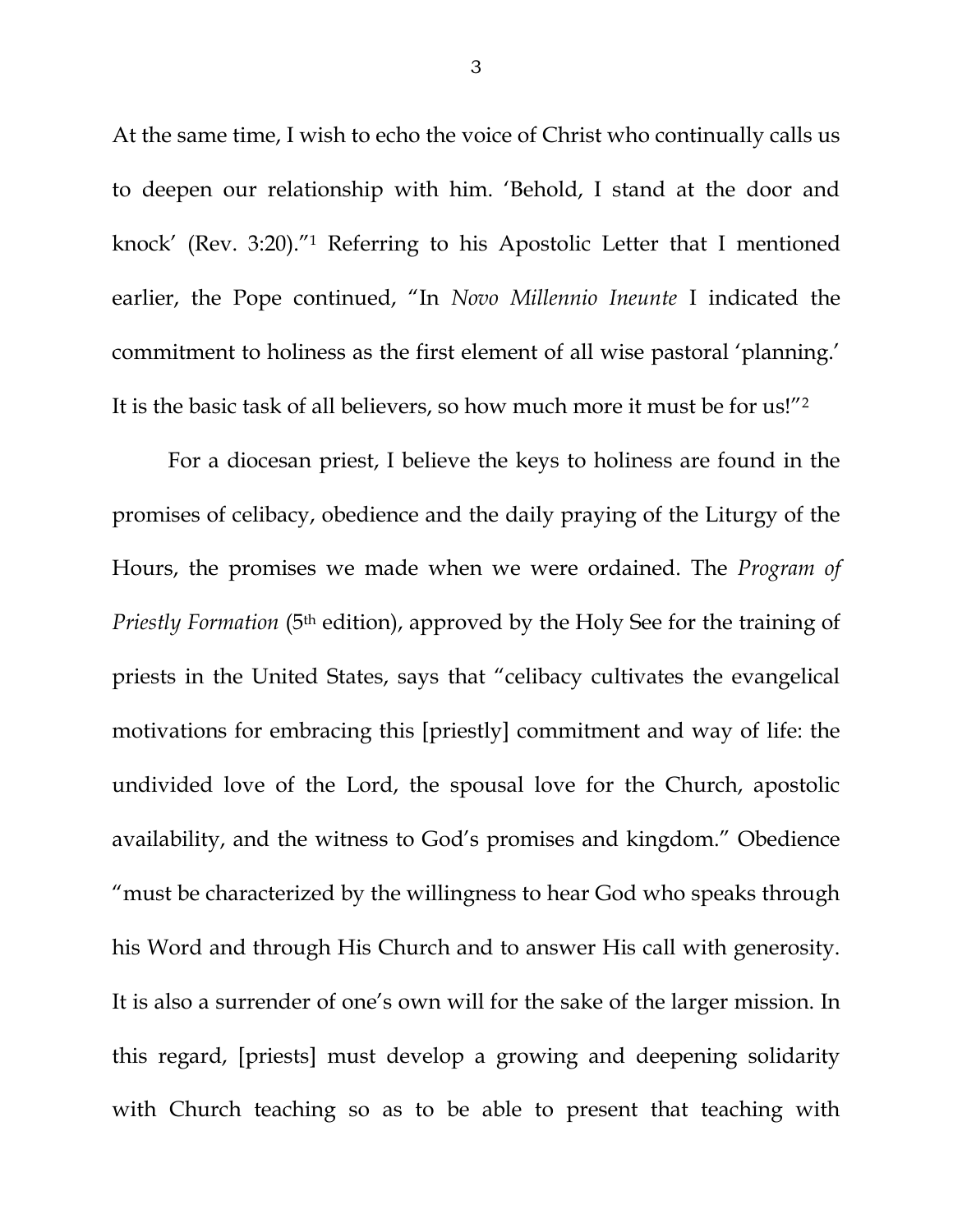At the same time, I wish to echo the voice of Christ who continually calls us to deepen our relationship with him. 'Behold, I stand at the door and knock' (Rev. 3:20)."<sup>1</sup> Referring to his Apostolic Letter that I mentioned earlier, the Pope continued, "In *Novo Millennio Ineunte* I indicated the commitment to holiness as the first element of all wise pastoral 'planning.' It is the basic task of all believers, so how much more it must be for us!"<sup>2</sup>

For a diocesan priest, I believe the keys to holiness are found in the promises of celibacy, obedience and the daily praying of the Liturgy of the Hours, the promises we made when we were ordained. The *Program of Priestly Formation* (5<sup>th</sup> edition), approved by the Holy See for the training of priests in the United States, says that "celibacy cultivates the evangelical motivations for embracing this [priestly] commitment and way of life: the undivided love of the Lord, the spousal love for the Church, apostolic availability, and the witness to God's promises and kingdom." Obedience "must be characterized by the willingness to hear God who speaks through his Word and through His Church and to answer His call with generosity. It is also a surrender of one's own will for the sake of the larger mission. In this regard, [priests] must develop a growing and deepening solidarity with Church teaching so as to be able to present that teaching with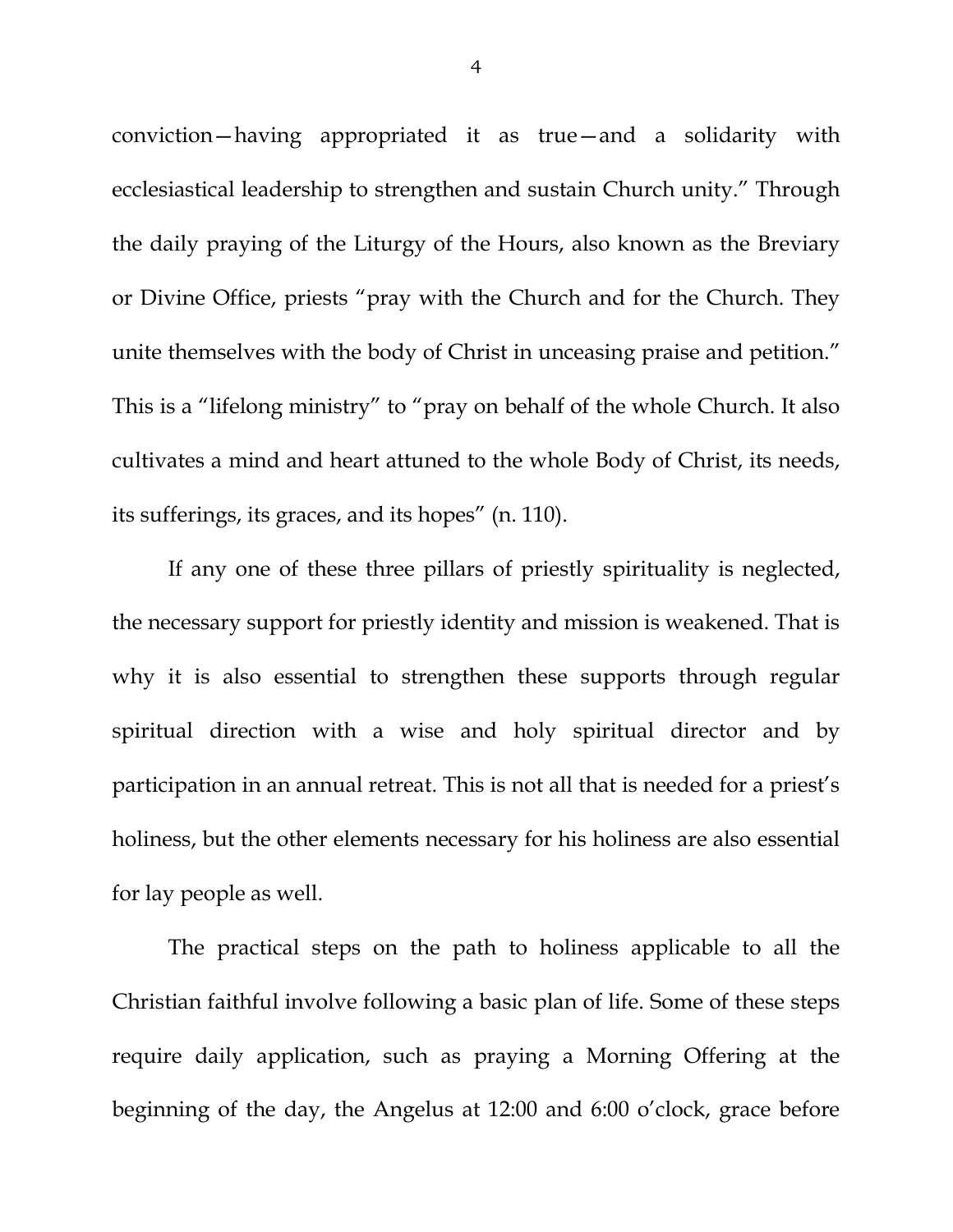conviction—having appropriated it as true—and a solidarity with ecclesiastical leadership to strengthen and sustain Church unity." Through the daily praying of the Liturgy of the Hours, also known as the Breviary or Divine Office, priests "pray with the Church and for the Church. They unite themselves with the body of Christ in unceasing praise and petition." This is a "lifelong ministry" to "pray on behalf of the whole Church. It also cultivates a mind and heart attuned to the whole Body of Christ, its needs, its sufferings, its graces, and its hopes" (n. 110).

If any one of these three pillars of priestly spirituality is neglected, the necessary support for priestly identity and mission is weakened. That is why it is also essential to strengthen these supports through regular spiritual direction with a wise and holy spiritual director and by participation in an annual retreat. This is not all that is needed for a priest's holiness, but the other elements necessary for his holiness are also essential for lay people as well.

The practical steps on the path to holiness applicable to all the Christian faithful involve following a basic plan of life. Some of these steps require daily application, such as praying a Morning Offering at the beginning of the day, the Angelus at 12:00 and 6:00 o'clock, grace before

4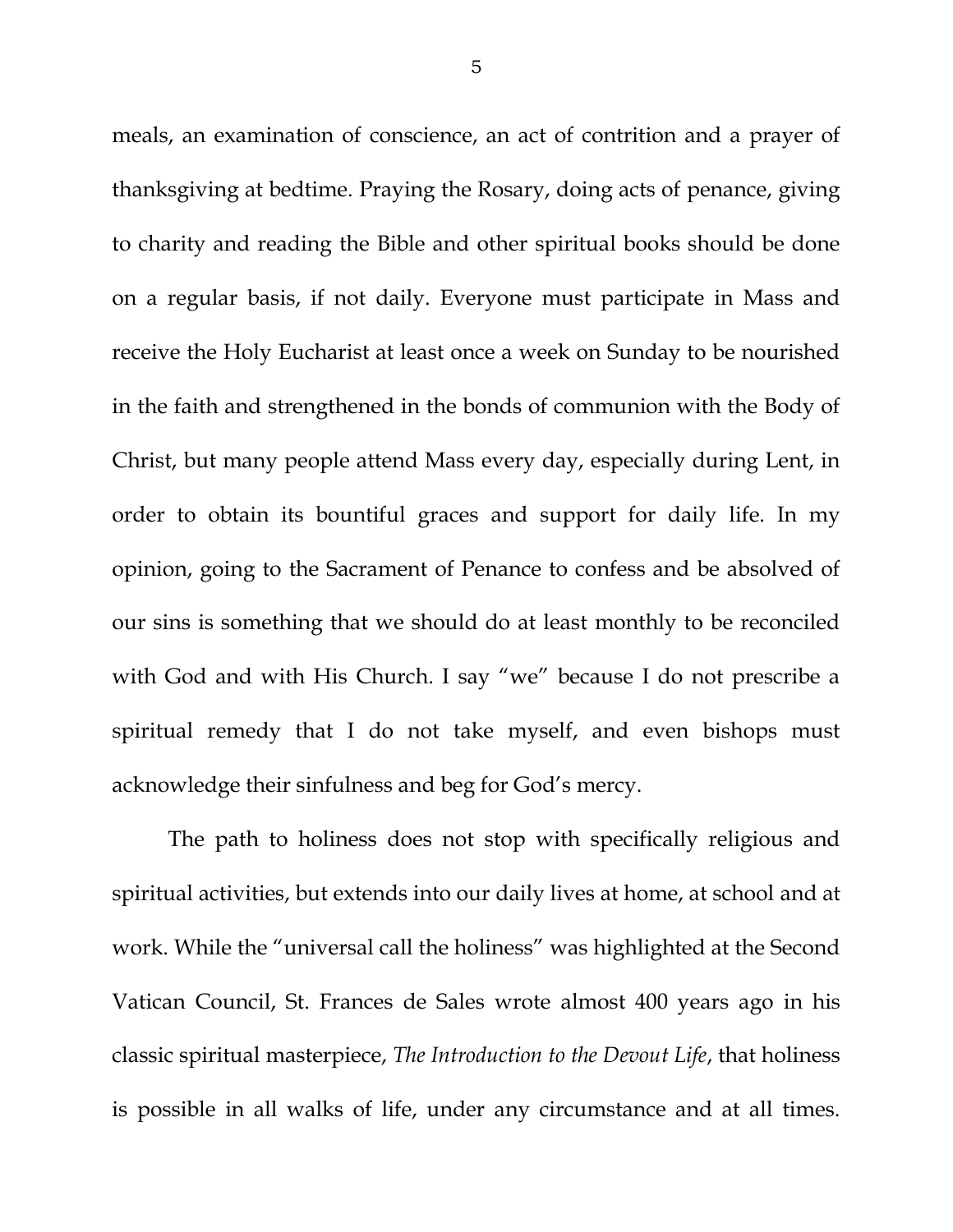meals, an examination of conscience, an act of contrition and a prayer of thanksgiving at bedtime. Praying the Rosary, doing acts of penance, giving to charity and reading the Bible and other spiritual books should be done on a regular basis, if not daily. Everyone must participate in Mass and receive the Holy Eucharist at least once a week on Sunday to be nourished in the faith and strengthened in the bonds of communion with the Body of Christ, but many people attend Mass every day, especially during Lent, in order to obtain its bountiful graces and support for daily life. In my opinion, going to the Sacrament of Penance to confess and be absolved of our sins is something that we should do at least monthly to be reconciled with God and with His Church. I say "we" because I do not prescribe a spiritual remedy that I do not take myself, and even bishops must acknowledge their sinfulness and beg for God's mercy.

The path to holiness does not stop with specifically religious and spiritual activities, but extends into our daily lives at home, at school and at work. While the "universal call the holiness" was highlighted at the Second Vatican Council, St. Frances de Sales wrote almost 400 years ago in his classic spiritual masterpiece, *The Introduction to the Devout Life*, that holiness is possible in all walks of life, under any circumstance and at all times.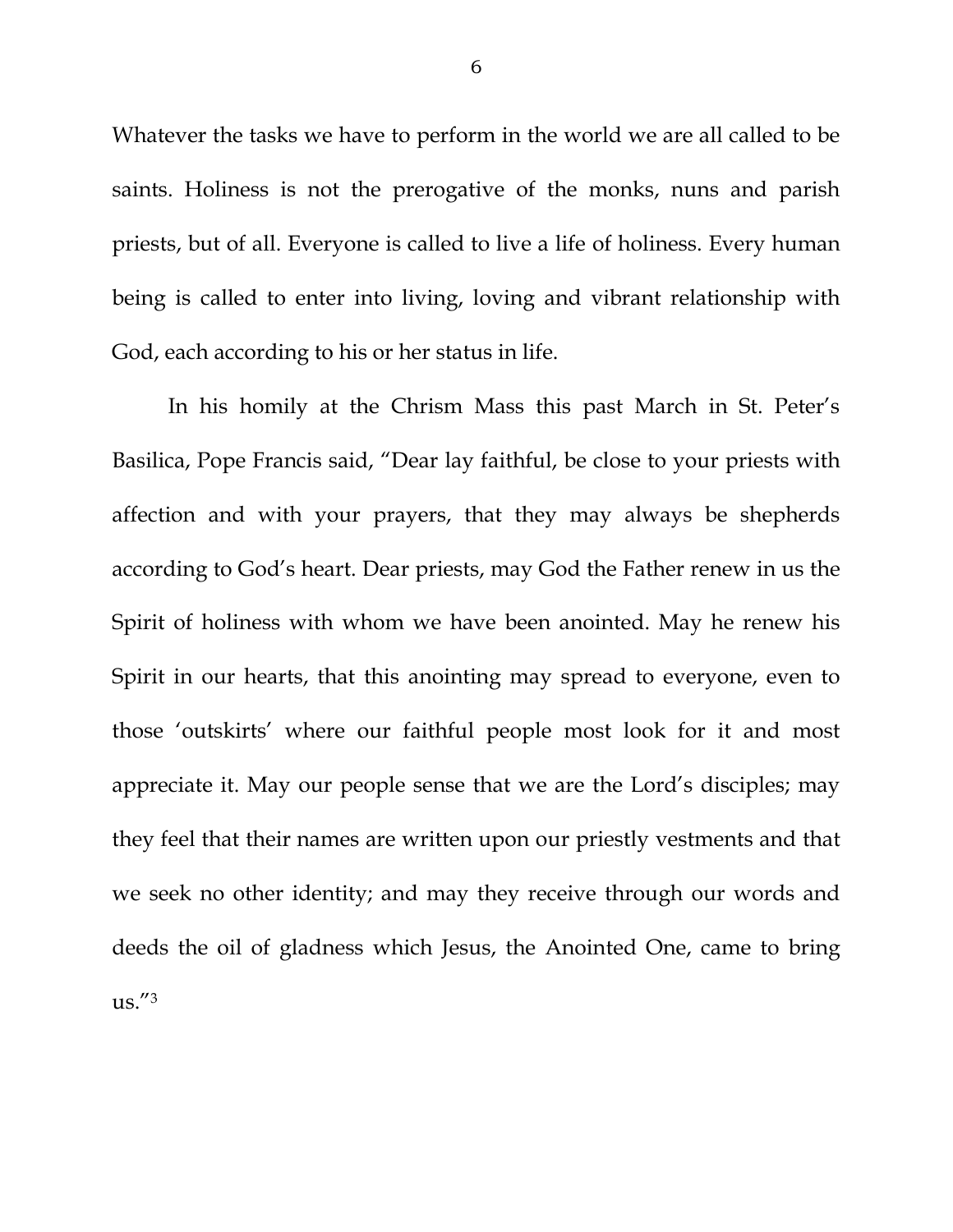Whatever the tasks we have to perform in the world we are all called to be saints. Holiness is not the prerogative of the monks, nuns and parish priests, but of all. Everyone is called to live a life of holiness. Every human being is called to enter into living, loving and vibrant relationship with God, each according to his or her status in life.

In his homily at the Chrism Mass this past March in St. Peter's Basilica, Pope Francis said, "Dear lay faithful, be close to your priests with affection and with your prayers, that they may always be shepherds according to God's heart. Dear priests, may God the Father renew in us the Spirit of holiness with whom we have been anointed. May he renew his Spirit in our hearts, that this anointing may spread to everyone, even to those 'outskirts' where our faithful people most look for it and most appreciate it. May our people sense that we are the Lord's disciples; may they feel that their names are written upon our priestly vestments and that we seek no other identity; and may they receive through our words and deeds the oil of gladness which Jesus, the Anointed One, came to bring  $\text{us.}^{"3}$